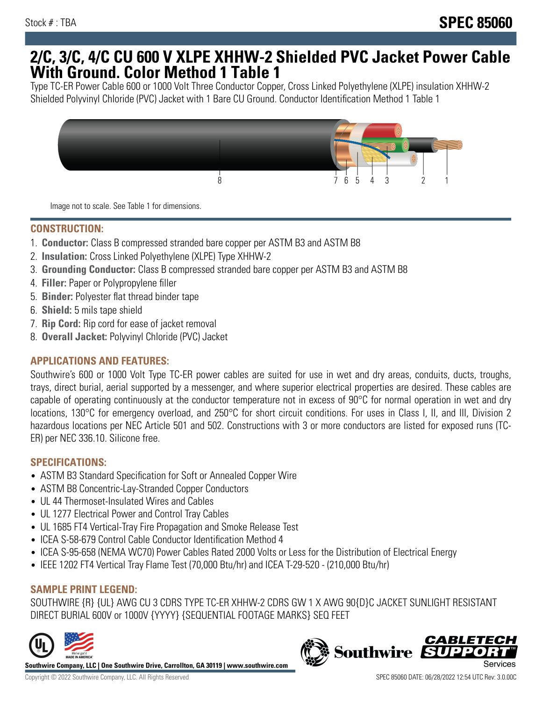## **2/C, 3/C, 4/C CU 600 V XLPE XHHW-2 Shielded PVC Jacket Power Cable With Ground. Color Method 1 Table 1**

Type TC-ER Power Cable 600 or 1000 Volt Three Conductor Copper, Cross Linked Polyethylene (XLPE) insulation XHHW-2 Shielded Polyvinyl Chloride (PVC) Jacket with 1 Bare CU Ground. Conductor Identification Method 1 Table 1



Image not to scale. See Table 1 for dimensions.

#### **CONSTRUCTION:**

- 1. **Conductor:** Class B compressed stranded bare copper per ASTM B3 and ASTM B8
- 2. **Insulation:** Cross Linked Polyethylene (XLPE) Type XHHW-2
- 3. **Grounding Conductor:** Class B compressed stranded bare copper per ASTM B3 and ASTM B8
- 4. **Filler:** Paper or Polypropylene filler
- 5. **Binder:** Polyester flat thread binder tape
- 6. **Shield:** 5 mils tape shield
- 7. **Rip Cord:** Rip cord for ease of jacket removal
- 8. **Overall Jacket:** Polyvinyl Chloride (PVC) Jacket

## **APPLICATIONS AND FEATURES:**

Southwire's 600 or 1000 Volt Type TC-ER power cables are suited for use in wet and dry areas, conduits, ducts, troughs, trays, direct burial, aerial supported by a messenger, and where superior electrical properties are desired. These cables are capable of operating continuously at the conductor temperature not in excess of 90°C for normal operation in wet and dry locations, 130°C for emergency overload, and 250°C for short circuit conditions. For uses in Class I, II, and III, Division 2 hazardous locations per NEC Article 501 and 502. Constructions with 3 or more conductors are listed for exposed runs (TC-ER) per NEC 336.10. Silicone free.

#### **SPECIFICATIONS:**

- ASTM B3 Standard Specification for Soft or Annealed Copper Wire
- ASTM B8 Concentric-Lay-Stranded Copper Conductors
- UL 44 Thermoset-Insulated Wires and Cables
- UL 1277 Electrical Power and Control Tray Cables
- UL 1685 FT4 Vertical-Tray Fire Propagation and Smoke Release Test
- ICEA S-58-679 Control Cable Conductor Identification Method 4
- ICEA S-95-658 (NEMA WC70) Power Cables Rated 2000 Volts or Less for the Distribution of Electrical Energy
- IEEE 1202 FT4 Vertical Tray Flame Test (70,000 Btu/hr) and ICEA T-29-520 (210,000 Btu/hr)

## **SAMPLE PRINT LEGEND:**

SOUTHWIRE {R} {UL} AWG CU 3 CDRS TYPE TC-ER XHHW-2 CDRS GW 1 X AWG 90{D}C JACKET SUNLIGHT RESISTANT DIRECT BURIAL 600V or 1000V {YYYY} {SEQUENTIAL FOOTAGE MARKS} SEQ FEET



**Southwire Company, LLC | One Southwire Drive, Carrollton, GA 30119 | www.southwire.com**